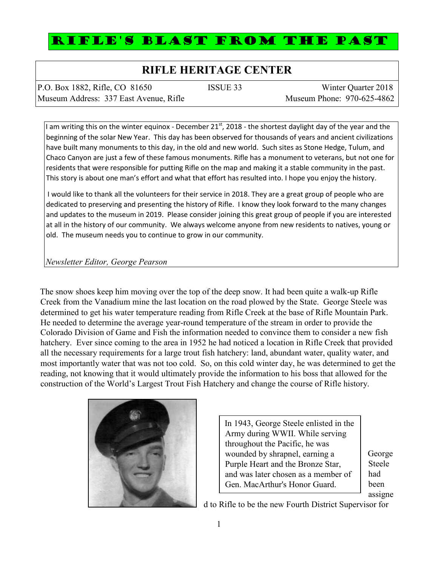## RIFLE'S BLAST FROM THE PAST

## **RIFLE HERITAGE CENTER**

| P.O. Box 1882, Rifle, CO 81650         | ISSUE 33 | Winter Quarter 2018        |
|----------------------------------------|----------|----------------------------|
| Museum Address: 337 East Avenue, Rifle |          | Museum Phone: 970-625-4862 |

I am writing this on the winter equinox - December 21<sup>st</sup>, 2018 - the shortest daylight day of the year and the beginning of the solar New Year. This day has been observed for thousands of years and ancient civilizations have built many monuments to this day, in the old and new world. Such sites as Stone Hedge, Tulum, and Chaco Canyon are just a few of these famous monuments. Rifle has a monument to veterans, but not one for residents that were responsible for putting Rifle on the map and making it a stable community in the past. This story is about one man's effort and what that effort has resulted into. I hope you enjoy the history.

I would like to thank all the volunteers for their service in 2018. They are a great group of people who are dedicated to preserving and presenting the history of Rifle. I know they look forward to the many changes and updates to the museum in 2019. Please consider joining this great group of people if you are interested at all in the history of our community. We always welcome anyone from new residents to natives, young or old. The museum needs you to continue to grow in our community.

## *Newsletter Editor, George Pearson*

The snow shoes keep him moving over the top of the deep snow. It had been quite a walk-up Rifle Creek from the Vanadium mine the last location on the road plowed by the State. George Steele was determined to get his water temperature reading from Rifle Creek at the base of Rifle Mountain Park. He needed to determine the average year-round temperature of the stream in order to provide the Colorado Division of Game and Fish the information needed to convince them to consider a new fish hatchery. Ever since coming to the area in 1952 he had noticed a location in Rifle Creek that provided all the necessary requirements for a large trout fish hatchery: land, abundant water, quality water, and most importantly water that was not too cold. So, on this cold winter day, he was determined to get the reading, not knowing that it would ultimately provide the information to his boss that allowed for the construction of the World's Largest Trout Fish Hatchery and change the course of Rifle history.



In 1943, George Steele enlisted in the Army during WWII. While serving throughout the Pacific, he was wounded by shrapnel, earning a Purple Heart and the Bronze Star, and was later chosen as a member of Gen. MacArthur's Honor Guard.

George Steele had been assigne

d to Rifle to be the new Fourth District Supervisor for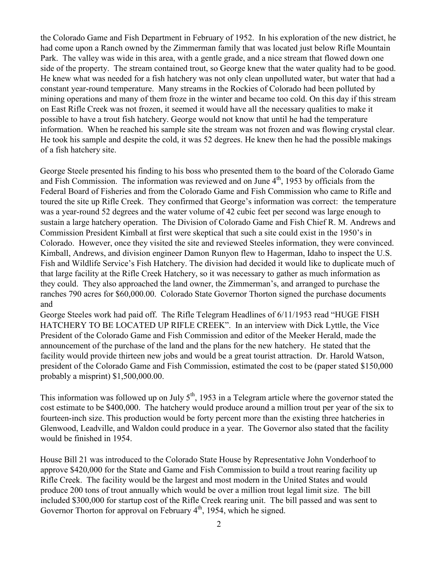the Colorado Game and Fish Department in February of 1952. In his exploration of the new district, he had come upon a Ranch owned by the Zimmerman family that was located just below Rifle Mountain Park. The valley was wide in this area, with a gentle grade, and a nice stream that flowed down one side of the property. The stream contained trout, so George knew that the water quality had to be good. He knew what was needed for a fish hatchery was not only clean unpolluted water, but water that had a constant year-round temperature. Many streams in the Rockies of Colorado had been polluted by mining operations and many of them froze in the winter and became too cold. On this day if this stream on East Rifle Creek was not frozen, it seemed it would have all the necessary qualities to make it possible to have a trout fish hatchery. George would not know that until he had the temperature information. When he reached his sample site the stream was not frozen and was flowing crystal clear. He took his sample and despite the cold, it was 52 degrees. He knew then he had the possible makings of a fish hatchery site.

George Steele presented his finding to his boss who presented them to the board of the Colorado Game and Fish Commission. The information was reviewed and on June  $4<sup>th</sup>$ , 1953 by officials from the Federal Board of Fisheries and from the Colorado Game and Fish Commission who came to Rifle and toured the site up Rifle Creek. They confirmed that George's information was correct: the temperature was a year-round 52 degrees and the water volume of 42 cubic feet per second was large enough to sustain a large hatchery operation. The Division of Colorado Game and Fish Chief R. M. Andrews and Commission President Kimball at first were skeptical that such a site could exist in the 1950's in Colorado. However, once they visited the site and reviewed Steeles information, they were convinced. Kimball, Andrews, and division engineer Damon Runyon flew to Hagerman, Idaho to inspect the U.S. Fish and Wildlife Service's Fish Hatchery. The division had decided it would like to duplicate much of that large facility at the Rifle Creek Hatchery, so it was necessary to gather as much information as they could. They also approached the land owner, the Zimmerman's, and arranged to purchase the ranches 790 acres for \$60,000.00. Colorado State Governor Thorton signed the purchase documents and

George Steeles work had paid off. The Rifle Telegram Headlines of 6/11/1953 read "HUGE FISH HATCHERY TO BE LOCATED UP RIFLE CREEK". In an interview with Dick Lyttle, the Vice President of the Colorado Game and Fish Commission and editor of the Meeker Herald, made the announcement of the purchase of the land and the plans for the new hatchery. He stated that the facility would provide thirteen new jobs and would be a great tourist attraction. Dr. Harold Watson, president of the Colorado Game and Fish Commission, estimated the cost to be (paper stated \$150,000 probably a misprint) \$1,500,000.00.

This information was followed up on July  $5<sup>th</sup>$ , 1953 in a Telegram article where the governor stated the cost estimate to be \$400,000. The hatchery would produce around a million trout per year of the six to fourteen-inch size. This production would be forty percent more than the existing three hatcheries in Glenwood, Leadville, and Waldon could produce in a year. The Governor also stated that the facility would be finished in 1954.

House Bill 21 was introduced to the Colorado State House by Representative John Vonderhoof to approve \$420,000 for the State and Game and Fish Commission to build a trout rearing facility up Rifle Creek. The facility would be the largest and most modern in the United States and would produce 200 tons of trout annually which would be over a million trout legal limit size. The bill included \$300,000 for startup cost of the Rifle Creek rearing unit. The bill passed and was sent to Governor Thorton for approval on February  $4<sup>th</sup>$ , 1954, which he signed.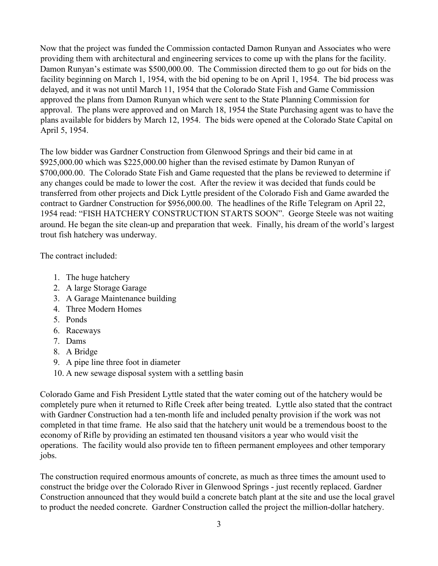Now that the project was funded the Commission contacted Damon Runyan and Associates who were providing them with architectural and engineering services to come up with the plans for the facility. Damon Runyan's estimate was \$500,000.00. The Commission directed them to go out for bids on the facility beginning on March 1, 1954, with the bid opening to be on April 1, 1954. The bid process was delayed, and it was not until March 11, 1954 that the Colorado State Fish and Game Commission approved the plans from Damon Runyan which were sent to the State Planning Commission for approval. The plans were approved and on March 18, 1954 the State Purchasing agent was to have the plans available for bidders by March 12, 1954. The bids were opened at the Colorado State Capital on April 5, 1954.

The low bidder was Gardner Construction from Glenwood Springs and their bid came in at \$925,000.00 which was \$225,000.00 higher than the revised estimate by Damon Runyan of \$700,000.00. The Colorado State Fish and Game requested that the plans be reviewed to determine if any changes could be made to lower the cost. After the review it was decided that funds could be transferred from other projects and Dick Lyttle president of the Colorado Fish and Game awarded the contract to Gardner Construction for \$956,000.00. The headlines of the Rifle Telegram on April 22, 1954 read: "FISH HATCHERY CONSTRUCTION STARTS SOON". George Steele was not waiting around. He began the site clean-up and preparation that week. Finally, his dream of the world's largest trout fish hatchery was underway.

The contract included:

- 1. The huge hatchery
- 2. A large Storage Garage
- 3. A Garage Maintenance building
- 4. Three Modern Homes
- 5. Ponds
- 6. Raceways
- 7. Dams
- 8. A Bridge
- 9. A pipe line three foot in diameter
- 10. A new sewage disposal system with a settling basin

Colorado Game and Fish President Lyttle stated that the water coming out of the hatchery would be completely pure when it returned to Rifle Creek after being treated. Lyttle also stated that the contract with Gardner Construction had a ten-month life and included penalty provision if the work was not completed in that time frame. He also said that the hatchery unit would be a tremendous boost to the economy of Rifle by providing an estimated ten thousand visitors a year who would visit the operations. The facility would also provide ten to fifteen permanent employees and other temporary jobs.

The construction required enormous amounts of concrete, as much as three times the amount used to construct the bridge over the Colorado River in Glenwood Springs - just recently replaced. Gardner Construction announced that they would build a concrete batch plant at the site and use the local gravel to product the needed concrete. Gardner Construction called the project the million-dollar hatchery.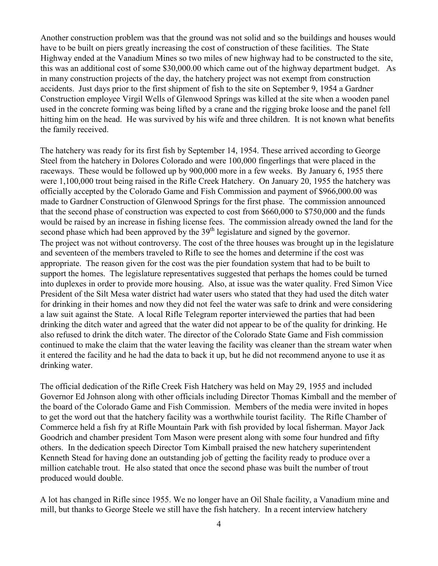Another construction problem was that the ground was not solid and so the buildings and houses would have to be built on piers greatly increasing the cost of construction of these facilities. The State Highway ended at the Vanadium Mines so two miles of new highway had to be constructed to the site, this was an additional cost of some \$30,000.00 which came out of the highway department budget. As in many construction projects of the day, the hatchery project was not exempt from construction accidents. Just days prior to the first shipment of fish to the site on September 9, 1954 a Gardner Construction employee Virgil Wells of Glenwood Springs was killed at the site when a wooden panel used in the concrete forming was being lifted by a crane and the rigging broke loose and the panel fell hitting him on the head. He was survived by his wife and three children. It is not known what benefits the family received.

The hatchery was ready for its first fish by September 14, 1954. These arrived according to George Steel from the hatchery in Dolores Colorado and were 100,000 fingerlings that were placed in the raceways. These would be followed up by 900,000 more in a few weeks. By January 6, 1955 there were 1,100,000 trout being raised in the Rifle Creek Hatchery. On January 20, 1955 the hatchery was officially accepted by the Colorado Game and Fish Commission and payment of \$966,000.00 was made to Gardner Construction of Glenwood Springs for the first phase. The commission announced that the second phase of construction was expected to cost from \$660,000 to \$750,000 and the funds would be raised by an increase in fishing license fees. The commission already owned the land for the second phase which had been approved by the 39<sup>th</sup> legislature and signed by the governor. The project was not without controversy. The cost of the three houses was brought up in the legislature and seventeen of the members traveled to Rifle to see the homes and determine if the cost was appropriate. The reason given for the cost was the pier foundation system that had to be built to support the homes. The legislature representatives suggested that perhaps the homes could be turned into duplexes in order to provide more housing. Also, at issue was the water quality. Fred Simon Vice President of the Silt Mesa water district had water users who stated that they had used the ditch water for drinking in their homes and now they did not feel the water was safe to drink and were considering a law suit against the State. A local Rifle Telegram reporter interviewed the parties that had been drinking the ditch water and agreed that the water did not appear to be of the quality for drinking. He also refused to drink the ditch water. The director of the Colorado State Game and Fish commission continued to make the claim that the water leaving the facility was cleaner than the stream water when it entered the facility and he had the data to back it up, but he did not recommend anyone to use it as drinking water.

The official dedication of the Rifle Creek Fish Hatchery was held on May 29, 1955 and included Governor Ed Johnson along with other officials including Director Thomas Kimball and the member of the board of the Colorado Game and Fish Commission. Members of the media were invited in hopes to get the word out that the hatchery facility was a worthwhile tourist facility. The Rifle Chamber of Commerce held a fish fry at Rifle Mountain Park with fish provided by local fisherman. Mayor Jack Goodrich and chamber president Tom Mason were present along with some four hundred and fifty others. In the dedication speech Director Tom Kimball praised the new hatchery superintendent Kenneth Stead for having done an outstanding job of getting the facility ready to produce over a million catchable trout. He also stated that once the second phase was built the number of trout produced would double.

A lot has changed in Rifle since 1955. We no longer have an Oil Shale facility, a Vanadium mine and mill, but thanks to George Steele we still have the fish hatchery. In a recent interview hatchery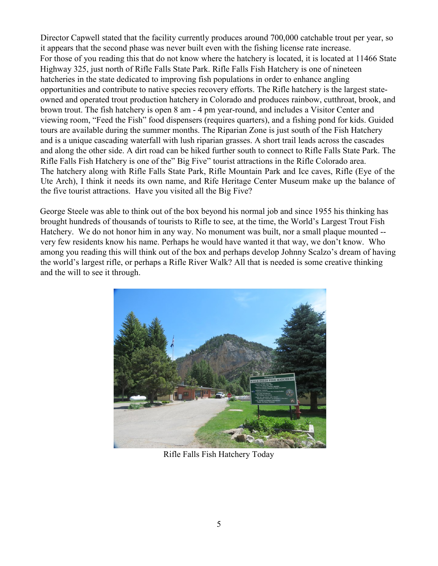Director Capwell stated that the facility currently produces around 700,000 catchable trout per year, so it appears that the second phase was never built even with the fishing license rate increase. For those of you reading this that do not know where the hatchery is located, it is located at 11466 State Highway 325, just north of Rifle Falls State Park. Rifle Falls Fish Hatchery is one of nineteen hatcheries in the state dedicated to improving fish populations in order to enhance angling opportunities and contribute to native species recovery efforts. The Rifle hatchery is the largest stateowned and operated trout production hatchery in Colorado and produces rainbow, cutthroat, brook, and brown trout. The fish hatchery is open 8 am - 4 pm year-round, and includes a Visitor Center and viewing room, "Feed the Fish" food dispensers (requires quarters), and a fishing pond for kids. Guided tours are available during the summer months. The Riparian Zone is just south of the Fish Hatchery and is a unique cascading waterfall with lush riparian grasses. A short trail leads across the cascades and along the other side. A dirt road can be hiked further south to connect to Rifle Falls State Park. The Rifle Falls Fish Hatchery is one of the" Big Five" tourist attractions in the Rifle Colorado area. The hatchery along with Rifle Falls State Park, Rifle Mountain Park and Ice caves, Rifle (Eye of the Ute Arch), I think it needs its own name, and Rife Heritage Center Museum make up the balance of the five tourist attractions. Have you visited all the Big Five?

George Steele was able to think out of the box beyond his normal job and since 1955 his thinking has brought hundreds of thousands of tourists to Rifle to see, at the time, the World's Largest Trout Fish Hatchery. We do not honor him in any way. No monument was built, nor a small plaque mounted - very few residents know his name. Perhaps he would have wanted it that way, we don't know. Who among you reading this will think out of the box and perhaps develop Johnny Scalzo's dream of having the world's largest rifle, or perhaps a Rifle River Walk? All that is needed is some creative thinking and the will to see it through.



Rifle Falls Fish Hatchery Today